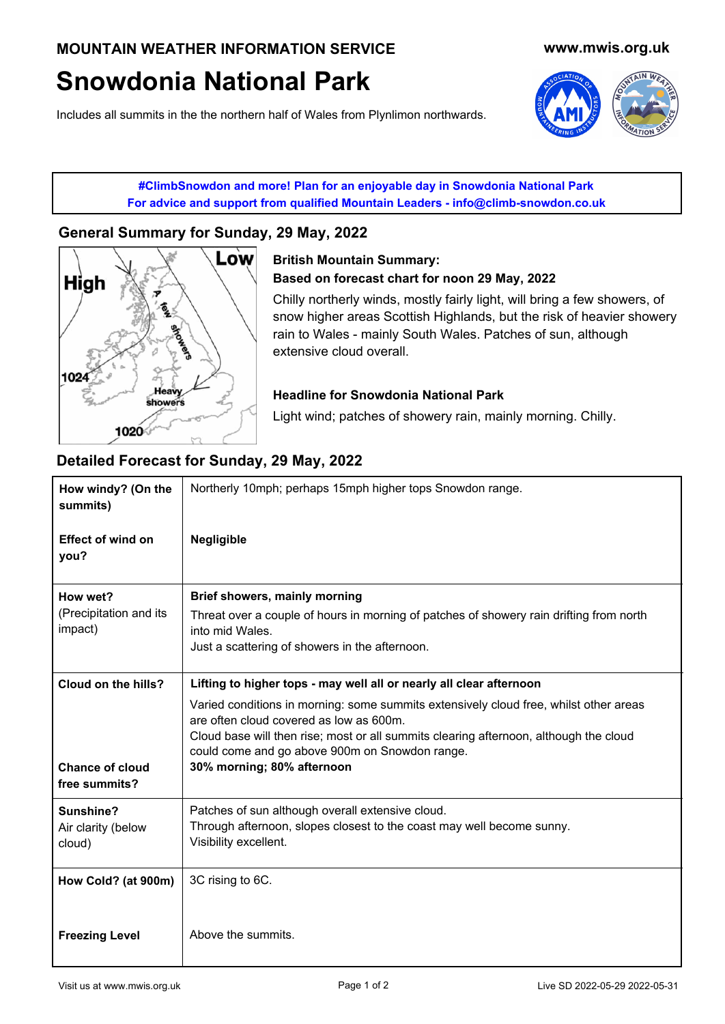# **Snowdonia National Park**

Includes all summits in the the northern half of Wales from Plynlimon northwards.



**#ClimbSnowdon and more! Plan for an enjoyable day in Snowdonia National Park For advice and support from qualified Mountain Leaders - info@climb-snowdon.co.uk**

## **[General Summary for Sunday, 29 May, 2022](http://www.climb-snowdon.co.uk/)**



## **[British Mountain Summary:](http://www.climb-snowdon.co.uk/) Based on forecast chart for noon 29 May, 2022**

Chilly northerly winds, mostly fairly light, will bring a few showers, of snow higher areas Scottish Highlands, but the risk of heavier showery rain to Wales - mainly South Wales. Patches of sun, although extensive cloud overall.

#### **Headline for Snowdonia National Park**

Light wind; patches of showery rain, mainly morning. Chilly.

## **Detailed Forecast for Sunday, 29 May, 2022**

| How windy? (On the<br>summits)                                 | Northerly 10mph; perhaps 15mph higher tops Snowdon range.                                                                                                                                                                                                                                                                                                                        |  |
|----------------------------------------------------------------|----------------------------------------------------------------------------------------------------------------------------------------------------------------------------------------------------------------------------------------------------------------------------------------------------------------------------------------------------------------------------------|--|
| <b>Effect of wind on</b><br>you?                               | <b>Negligible</b>                                                                                                                                                                                                                                                                                                                                                                |  |
| How wet?<br>(Precipitation and its<br>impact)                  | Brief showers, mainly morning<br>Threat over a couple of hours in morning of patches of showery rain drifting from north<br>into mid Wales.<br>Just a scattering of showers in the afternoon.                                                                                                                                                                                    |  |
| Cloud on the hills?<br><b>Chance of cloud</b><br>free summits? | Lifting to higher tops - may well all or nearly all clear afternoon<br>Varied conditions in morning: some summits extensively cloud free, whilst other areas<br>are often cloud covered as low as 600m.<br>Cloud base will then rise; most or all summits clearing afternoon, although the cloud<br>could come and go above 900m on Snowdon range.<br>30% morning; 80% afternoon |  |
| Sunshine?<br>Air clarity (below<br>cloud)                      | Patches of sun although overall extensive cloud.<br>Through afternoon, slopes closest to the coast may well become sunny.<br>Visibility excellent.                                                                                                                                                                                                                               |  |
| How Cold? (at 900m)<br><b>Freezing Level</b>                   | 3C rising to 6C.<br>Above the summits.                                                                                                                                                                                                                                                                                                                                           |  |